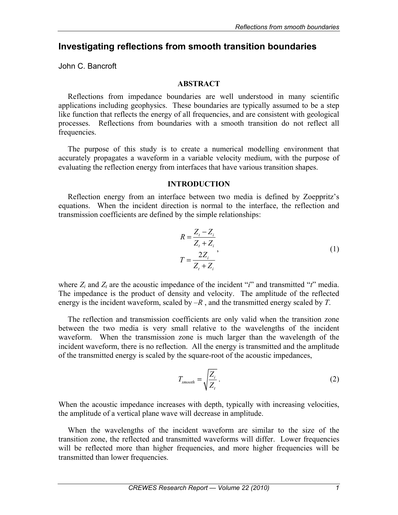# **Investigating reflections from smooth transition boundaries**

John C. Bancroft

## **ABSTRACT**

Reflections from impedance boundaries are well understood in many scientific applications including geophysics. These boundaries are typically assumed to be a step like function that reflects the energy of all frequencies, and are consistent with geological processes. Reflections from boundaries with a smooth transition do not reflect all frequencies.

The purpose of this study is to create a numerical modelling environment that accurately propagates a waveform in a variable velocity medium, with the purpose of evaluating the reflection energy from interfaces that have various transition shapes.

### **INTRODUCTION**

Reflection energy from an interface between two media is defined by Zoeppritz's equations. When the incident direction is normal to the interface, the reflection and transmission coefficients are defined by the simple relationships:

$$
R = \frac{Z_i - Z_i}{Z_i + Z_i}
$$
  
\n
$$
T = \frac{2Z_i}{Z_i + Z_i}
$$
\n(1)

where  $Z_i$  and  $Z_t$  are the acoustic impedance of the incident "*i*" and transmitted "*t*" media. The impedance is the product of density and velocity. The amplitude of the reflected energy is the incident waveform, scaled by –*R* , and the transmitted energy scaled by *T*.

The reflection and transmission coefficients are only valid when the transition zone between the two media is very small relative to the wavelengths of the incident waveform. When the transmission zone is much larger than the wavelength of the incident waveform, there is no reflection. All the energy is transmitted and the amplitude of the transmitted energy is scaled by the square-root of the acoustic impedances,

$$
T_{\text{smooth}} = \sqrt{\frac{Z_i}{Z_t}} \,. \tag{2}
$$

When the acoustic impedance increases with depth, typically with increasing velocities, the amplitude of a vertical plane wave will decrease in amplitude.

When the wavelengths of the incident waveform are similar to the size of the transition zone, the reflected and transmitted waveforms will differ. Lower frequencies will be reflected more than higher frequencies, and more higher frequencies will be transmitted than lower frequencies.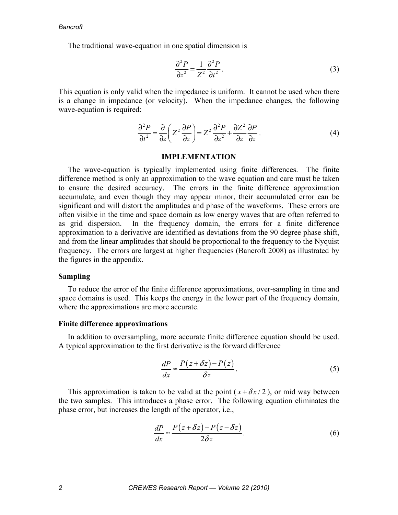The traditional wave-equation in one spatial dimension is

$$
\frac{\partial^2 P}{\partial z^2} = \frac{1}{Z^2} \frac{\partial^2 P}{\partial t^2}.
$$
 (3)

This equation is only valid when the impedance is uniform. It cannot be used when there is a change in impedance (or velocity). When the impedance changes, the following wave-equation is required:

$$
\frac{\partial^2 P}{\partial t^2} = \frac{\partial}{\partial z} \left( Z^2 \frac{\partial P}{\partial z} \right) = Z^2 \frac{\partial^2 P}{\partial z^2} + \frac{\partial Z^2}{\partial z} \frac{\partial P}{\partial z} \,. \tag{4}
$$

#### **IMPLEMENTATION**

The wave-equation is typically implemented using finite differences. The finite difference method is only an approximation to the wave equation and care must be taken to ensure the desired accuracy. The errors in the finite difference approximation accumulate, and even though they may appear minor, their accumulated error can be significant and will distort the amplitudes and phase of the waveforms. These errors are often visible in the time and space domain as low energy waves that are often referred to as grid dispersion. In the frequency domain, the errors for a finite difference approximation to a derivative are identified as deviations from the 90 degree phase shift, and from the linear amplitudes that should be proportional to the frequency to the Nyquist frequency. The errors are largest at higher frequencies (Bancroft 2008) as illustrated by the figures in the appendix.

#### **Sampling**

To reduce the error of the finite difference approximations, over-sampling in time and space domains is used. This keeps the energy in the lower part of the frequency domain, where the approximations are more accurate.

#### **Finite difference approximations**

In addition to oversampling, more accurate finite difference equation should be used. A typical approximation to the first derivative is the forward difference

$$
\frac{dP}{dx} \approx \frac{P(z + \delta z) - P(z)}{\delta z}.
$$
\n(5)

This approximation is taken to be valid at the point  $(x + \delta x/2)$ , or mid way between the two samples. This introduces a phase error. The following equation eliminates the phase error, but increases the length of the operator, i.e.,

$$
\frac{dP}{dx} \approx \frac{P(z + \delta z) - P(z - \delta z)}{2\delta z}.
$$
\n(6)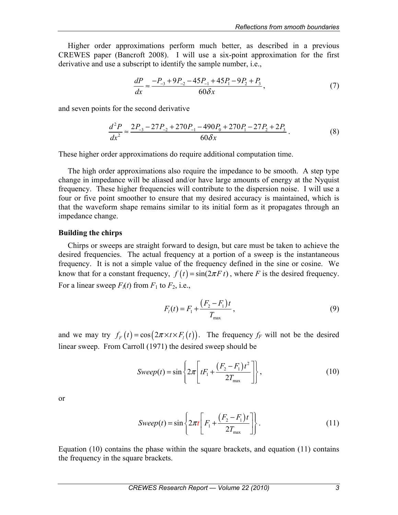Higher order approximations perform much better, as described in a previous CREWES paper (Bancroft 2008). I will use a six-point approximation for the first derivative and use a subscript to identify the sample number, i.e.,

$$
\frac{dP}{dx} \approx \frac{-P_{-3} + 9P_{-2} - 45P_{-1} + 45P_1 - 9P_2 + P_3}{60\delta x},\tag{7}
$$

and seven points for the second derivative

$$
\frac{d^2P}{dx^2} \approx \frac{2P_{-3} - 27P_{-2} + 270P_{-1} - 490P_0 + 270P_1 - 27P_2 + 2P_3}{60\delta x}.
$$
\n(8)

These higher order approximations do require additional computation time.

The high order approximations also require the impedance to be smooth. A step type change in impedance will be aliased and/or have large amounts of energy at the Nyquist frequency. These higher frequencies will contribute to the dispersion noise. I will use a four or five point smoother to ensure that my desired accuracy is maintained, which is that the waveform shape remains similar to its initial form as it propagates through an impedance change.

### **Building the chirps**

Chirps or sweeps are straight forward to design, but care must be taken to achieve the desired frequencies. The actual frequency at a portion of a sweep is the instantaneous frequency. It is not a simple value of the frequency defined in the sine or cosine. We know that for a constant frequency,  $f(t) = \sin(2\pi F t)$ , where *F* is the desired frequency. For a linear sweep  $F_l(t)$  from  $F_1$  to  $F_2$ , i.e.,

$$
F_1(t) = F_1 + \frac{(F_2 - F_1)t}{T_{\text{max}}},
$$
\n(9)

and we may try  $f_F(t) = \cos(2\pi \times t \times F_t(t))$ . The frequency  $f_F$  will not be the desired linear sweep. From Carroll (1971) the desired sweep should be

$$
Sweep(t) = \sin\left\{2\pi \left[tF_1 + \frac{(F_2 - F_1)t^2}{2T_{\text{max}}}\right]\right\},\tag{10}
$$

or

$$
Sweep(t) = \sin\left\{2\pi t \left[F_1 + \frac{(F_2 - F_1)t}{2T_{\text{max}}}\right]\right\}.
$$
\n(11)

Equation  $(10)$  contains the phase within the square brackets, and equation  $(11)$  contains the frequency in the square brackets.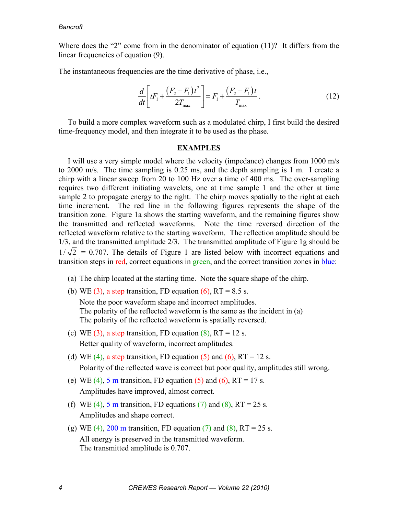Where does the "2" come from in the denominator of equation (11)? It differs from the linear frequencies of equation (9).

The instantaneous frequencies are the time derivative of phase, i.e.,

$$
\frac{d}{dt} \left[ tF_1 + \frac{(F_2 - F_1)t^2}{2T_{\text{max}}} \right] = F_1 + \frac{(F_2 - F_1)t}{T_{\text{max}}}.
$$
\n(12)

To build a more complex waveform such as a modulated chirp, I first build the desired time-frequency model, and then integrate it to be used as the phase.

#### **EXAMPLES**

I will use a very simple model where the velocity (impedance) changes from 1000 m/s to 2000 m/s. The time sampling is 0.25 ms, and the depth sampling is 1 m. I create a chirp with a linear sweep from 20 to 100 Hz over a time of 400 ms. The over-sampling requires two different initiating wavelets, one at time sample 1 and the other at time sample 2 to propagate energy to the right. The chirp moves spatially to the right at each time increment. The red line in the following figures represents the shape of the transition zone. Figure 1a shows the starting waveform, and the remaining figures show the transmitted and reflected waveforms. Note the time reversed direction of the reflected waveform relative to the starting waveform. The reflection amplitude should be 1/3, and the transmitted amplitude 2/3. The transmitted amplitude of Figure 1g should be  $1/\sqrt{2}$  = 0.707. The details of Figure 1 are listed below with incorrect equations and transition steps in red, correct equations in green, and the correct transition zones in blue:

- (a) The chirp located at the starting time. Note the square shape of the chirp.
- (b) WE (3), a step transition, FD equation  $(6)$ , RT = 8.5 s.

Note the poor waveform shape and incorrect amplitudes. The polarity of the reflected waveform is the same as the incident in (a) The polarity of the reflected waveform is spatially reversed.

- (c) WE (3), a step transition, FD equation  $(8)$ , RT = 12 s. Better quality of waveform, incorrect amplitudes.
- (d) WE (4), a step transition, FD equation (5) and (6),  $RT = 12$  s. Polarity of the reflected wave is correct but poor quality, amplitudes still wrong.
- (e) WE (4), 5 m transition, FD equation (5) and (6),  $RT = 17$  s. Amplitudes have improved, almost correct.
- (f) WE (4), 5 m transition, FD equations (7) and (8),  $RT = 25$  s. Amplitudes and shape correct.
- (g) WE (4), 200 m transition, FD equation (7) and (8), RT = 25 s. All energy is preserved in the transmitted waveform. The transmitted amplitude is 0.707.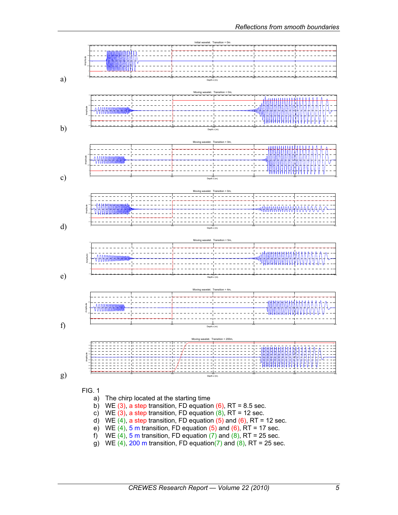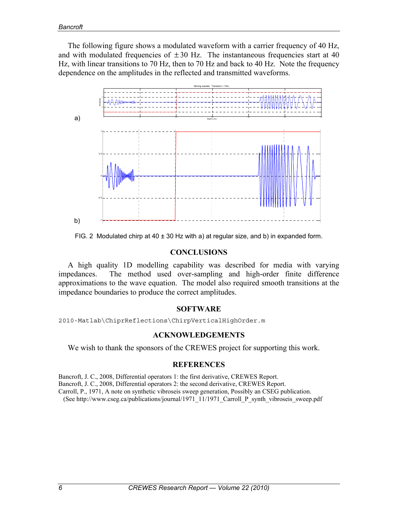The following figure shows a modulated waveform with a carrier frequency of 40 Hz, and with modulated frequencies of  $\pm 30$  Hz. The instantaneous frequencies start at 40 Hz, with linear transitions to 70 Hz, then to 70 Hz and back to 40 Hz. Note the frequency dependence on the amplitudes in the reflected and transmitted waveforms.



FIG. 2 Modulated chirp at 40 ± 30 Hz with a) at regular size, and b) in expanded form.

### **CONCLUSIONS**

A high quality 1D modelling capability was described for media with varying impedances. The method used over-sampling and high-order finite difference approximations to the wave equation. The model also required smooth transitions at the impedance boundaries to produce the correct amplitudes.

### **SOFTWARE**

2010-Matlab\ChiprReflections\ChirpVerticalHighOrder.m

### **ACKNOWLEDGEMENTS**

We wish to thank the sponsors of the CREWES project for supporting this work.

# **REFERENCES**

Bancroft, J. C., 2008, Differential operators 1: the first derivative, CREWES Report. Bancroft, J. C., 2008, Differential operators 2: the second derivative, CREWES Report. Carroll, P., 1971, A note on synthetic vibroseis sweep generation, Possibly an CSEG publication. (See http://www.cseg.ca/publications/journal/1971\_11/1971\_Carroll\_P\_synth\_vibroseis\_sweep.pdf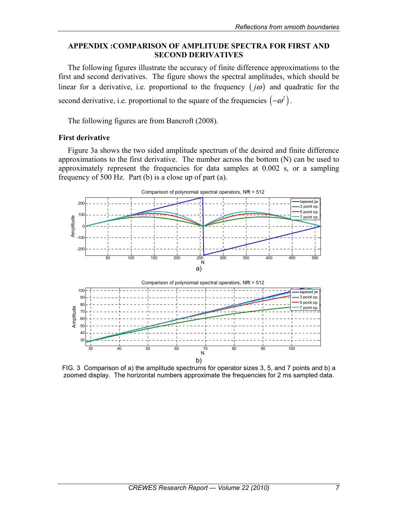# **APPENDIX :COMPARISON OF AMPLITUDE SPECTRA FOR FIRST AND SECOND DERIVATIVES**

The following figures illustrate the accuracy of finite difference approximations to the first and second derivatives. The figure shows the spectral amplitudes, which should be linear for a derivative, i.e. proportional to the frequency  $(i\omega)$  and quadratic for the second derivative, i.e. proportional to the square of the frequencies  $(-\omega^2)$ .

The following figures are from Bancroft (2008).

# **First derivative**

Figure 3a shows the two sided amplitude spectrum of the desired and finite difference approximations to the first derivative. The number across the bottom (N) can be used to approximately represent the frequencies for data samples at 0.002 s, or a sampling frequency of 500 Hz. Part (b) is a close up of part (a).



FIG. 3 Comparison of a) the amplitude spectrums for operator sizes 3, 5, and 7 points and b) a zoomed display. The horizontal numbers approximate the frequencies for 2 ms sampled data.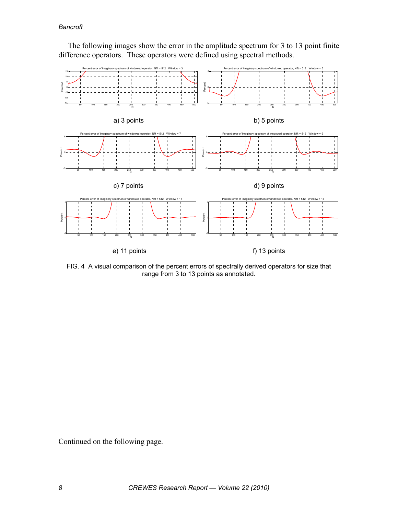

The following images show the error in the amplitude spectrum for 3 to 13 point finite difference operators. These operators were defined using spectral methods.

FIG. 4 A visual comparison of the percent errors of spectrally derived operators for size that range from 3 to 13 points as annotated.

Continued on the following page.